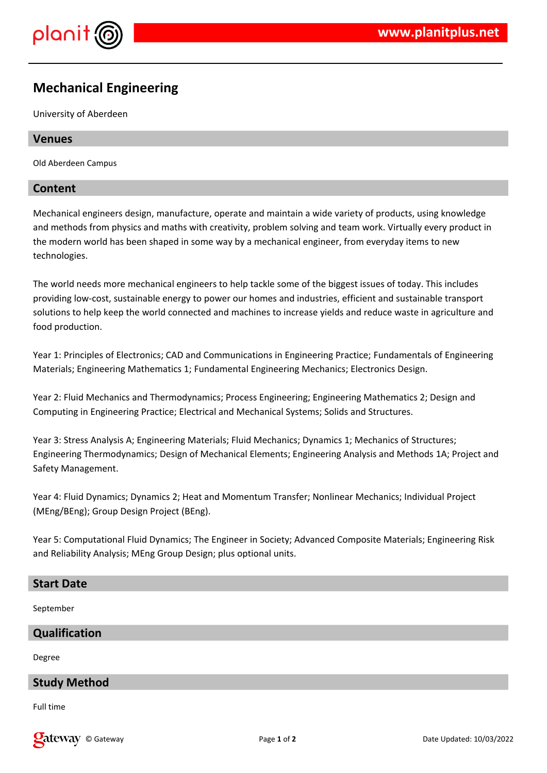

# **Mechanical Engineering**

University of Aberdeen

#### **Venues**

Old Aberdeen Campus

## **Content**

Mechanical engineers design, manufacture, operate and maintain a wide variety of products, using knowledge and methods from physics and maths with creativity, problem solving and team work. Virtually every product in the modern world has been shaped in some way by a mechanical engineer, from everyday items to new technologies.

The world needs more mechanical engineers to help tackle some of the biggest issues of today. This includes providing low-cost, sustainable energy to power our homes and industries, efficient and sustainable transport solutions to help keep the world connected and machines to increase yields and reduce waste in agriculture and food production.

Year 1: Principles of Electronics; CAD and Communications in Engineering Practice; Fundamentals of Engineering Materials; Engineering Mathematics 1; Fundamental Engineering Mechanics; Electronics Design.

Year 2: Fluid Mechanics and Thermodynamics; Process Engineering; Engineering Mathematics 2; Design and Computing in Engineering Practice; Electrical and Mechanical Systems; Solids and Structures.

Year 3: Stress Analysis A; Engineering Materials; Fluid Mechanics; Dynamics 1; Mechanics of Structures; Engineering Thermodynamics; Design of Mechanical Elements; Engineering Analysis and Methods 1A; Project and Safety Management.

Year 4: Fluid Dynamics; Dynamics 2; Heat and Momentum Transfer; Nonlinear Mechanics; Individual Project (MEng/BEng); Group Design Project (BEng).

Year 5: Computational Fluid Dynamics; The Engineer in Society; Advanced Composite Materials; Engineering Risk and Reliability Analysis; MEng Group Design; plus optional units.

#### **Start Date**

September

#### **Qualification**

Degree

## **Study Method**

Full time